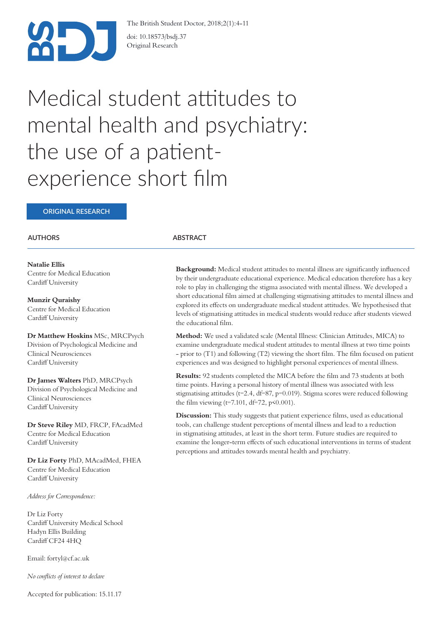

The British Student Doctor, 2018;2(1):4-11

doi: 10.18573/bsdj.37 Original Research

# Medical student attitudes to mental health and psychiatry: the use of a patientexperience short flm

## **ORIGINAL RESEARCH**

## **AUTHORS**

**Natalie Ellis** Centre for Medical Education Cardif University

**Munzir Quraishy** Centre for Medical Education Cardiff University

**Dr Matthew Hoskins** MSc, MRCPsych Division of Psychological Medicine and Clinical Neurosciences Cardif University

**Dr James Walters** PhD, MRCPsych Division of Psychological Medicine and Clinical Neurosciences Cardif University

**Dr Steve Riley** MD, FRCP, FAcadMed Centre for Medical Education Cardiff University

**Dr Liz Forty** PhD, MAcadMed, FHEA Centre for Medical Education Cardiff University

*Address for Correspondence:*

Dr Liz Forty Cardif University Medical School Hadyn Ellis Building Cardif CF24 4HQ

Email: fortyl@cf.ac.uk

*No conficts of interest to declare*

#### Accepted for publication: 15.11.17

#### **ABSTRACT**

**Background:** Medical student attitudes to mental illness are signifcantly infuenced by their undergraduate educational experience. Medical education therefore has a key role to play in challenging the stigma associated with mental illness. We developed a short educational flm aimed at challenging stigmatising attitudes to mental illness and explored its efects on undergraduate medical student attitudes. We hypothesised that levels of stigmatising attitudes in medical students would reduce afer students viewed the educational flm.

**Method:** We used a validated scale (Mental Illness: Clinician Attitudes, MICA) to examine undergraduate medical student attitudes to mental illness at two time points - prior to (T1) and following (T2) viewing the short flm. The flm focused on patient experiences and was designed to highlight personal experiences of mental illness.

**Results:** 92 students completed the MICA before the flm and 73 students at both time points. Having a personal history of mental illness was associated with less stigmatising attitudes (t=2.4, df=87, p=0.019). Stigma scores were reduced following the film viewing ( $t=7.101$ ,  $df=72$ ,  $p<0.001$ ).

**Discussion:** This study suggests that patient experience films, used as educational tools, can challenge student perceptions of mental illness and lead to a reduction in stigmatising attitudes, at least in the short term. Future studies are required to examine the longer-term efects of such educational interventions in terms of student perceptions and attitudes towards mental health and psychiatry.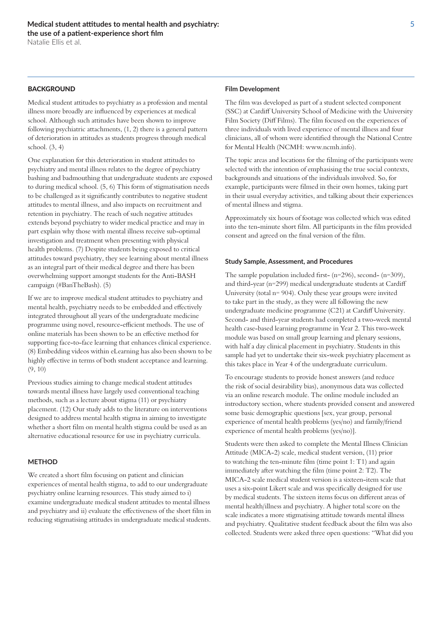## BACKGROUND

Medical student attitudes to psychiatry as a profession and mental illness more broadly are infuenced by experiences at medical school. Although such attitudes have been shown to improve following psychiatric attachments, (1, 2) there is a general pattern of deterioration in attitudes as students progress through medical school. (3, 4)

One explanation for this deterioration in student attitudes to psychiatry and mental illness relates to the degree of psychiatry bashing and badmouthing that undergraduate students are exposed to during medical school. (5, 6) This form of stigmatisation needs to be challenged as it signifcantly contributes to negative student attitudes to mental illness, and also impacts on recruitment and retention in psychiatry. The reach of such negative attitudes extends beyond psychiatry to wider medical practice and may in part explain why those with mental illness receive sub-optimal investigation and treatment when presenting with physical health problems. (7) Despite students being exposed to critical attitudes toward psychiatry, they see learning about mental illness as an integral part of their medical degree and there has been overwhelming support amongst students for the Anti-BASH campaign (#BanTheBash). (5)

If we are to improve medical student attitudes to psychiatry and mental health, psychiatry needs to be embedded and efectively integrated throughout all years of the undergraduate medicine programme using novel, resource-efficient methods. The use of online materials has been shown to be an efective method for supporting face-to-face learning that enhances clinical experience. (8) Embedding videos within eLearning has also been shown to be highly effective in terms of both student acceptance and learning. (9, 10)

Previous studies aiming to change medical student attitudes towards mental illness have largely used conventional teaching methods, such as a lecture about stigma (11) or psychiatry placement. (12) Our study adds to the literature on interventions designed to address mental health stigma in aiming to investigate whether a short flm on mental health stigma could be used as an alternative educational resource for use in psychiatry curricula.

## **METHOD**

We created a short flm focusing on patient and clinician experiences of mental health stigma, to add to our undergraduate psychiatry online learning resources. This study aimed to i) examine undergraduate medical student attitudes to mental illness and psychiatry and ii) evaluate the efectiveness of the short flm in reducing stigmatising attitudes in undergraduate medical students.

## **Film Development**

The flm was developed as part of a student selected component (SSC) at Cardif University School of Medicine with the University Film Society (Diff Films). The film focused on the experiences of three individuals with lived experience of mental illness and four clinicians, all of whom were identifed through the National Centre for Mental Health (NCMH: www.ncmh.info).

The topic areas and locations for the flming of the participants were selected with the intention of emphasising the true social contexts, backgrounds and situations of the individuals involved. So, for example, participants were flmed in their own homes, taking part in their usual everyday activities, and talking about their experiences of mental illness and stigma.

Approximately six hours of footage was collected which was edited into the ten-minute short flm. All participants in the flm provided consent and agreed on the fnal version of the flm.

#### **Study Sample, Assessment, and Procedures**

The sample population included frst- (n=296), second- (n=309), and third-year (n=299) medical undergraduate students at Cardif University (total n= 904). Only these year groups were invited to take part in the study, as they were all following the new undergraduate medicine programme (C21) at Cardif University. Second- and third-year students had completed a two-week mental health case-based learning programme in Year 2. This two-week module was based on small group learning and plenary sessions, with half a day clinical placement in psychiatry. Students in this sample had yet to undertake their six-week psychiatry placement as this takes place in Year 4 of the undergraduate curriculum.

To encourage students to provide honest answers (and reduce the risk of social desirability bias), anonymous data was collected via an online research module. The online module included an introductory section, where students provided consent and answered some basic demographic questions [sex, year group, personal experience of mental health problems (yes/no) and family/friend experience of mental health problems (yes/no)].

Students were then asked to complete the Mental Illness Clinician Attitude (MICA-2) scale, medical student version, (11) prior to watching the ten-minute flm (time point 1: T1) and again immediately after watching the film (time point 2: T2). The MICA-2 scale medical student version is a sixteen-item scale that uses a six-point Likert scale and was specifcally designed for use by medical students. The sixteen items focus on diferent areas of mental health/illness and psychiatry. A higher total score on the scale indicates a more stigmatising attitude towards mental illness and psychiatry. Qualitative student feedback about the flm was also collected. Students were asked three open questions: "What did you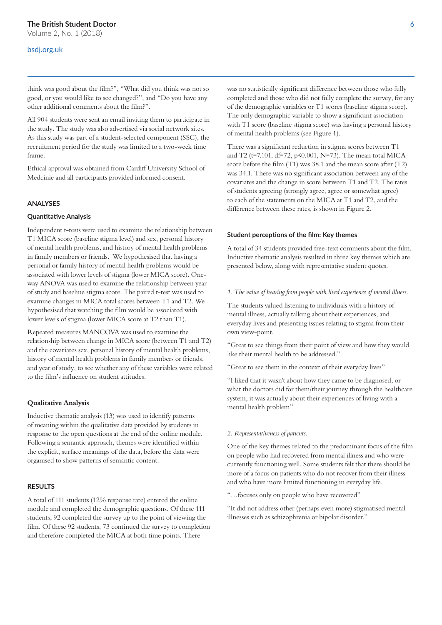## Volume 2, No. 1 (2018)

## bsdj.org.uk

think was good about the flm?", "What did you think was not so good, or you would like to see changed?", and "Do you have any other additional comments about the flm?".

All 904 students were sent an email inviting them to participate in the study. The study was also advertised via social network sites. As this study was part of a student-selected component (SSC), the recruitment period for the study was limited to a two-week time frame.

Ethical approval was obtained from Cardif University School of Medcinie and all participants provided informed consent.

#### **ANALYSES**

#### **Quanttatve Analysis**

Independent t-tests were used to examine the relationship between T1 MICA score (baseline stigma level) and sex, personal history of mental health problems, and history of mental health problems in family members or friends. We hypothesised that having a personal or family history of mental health problems would be associated with lower levels of stigma (lower MICA score). Oneway ANOVA was used to examine the relationship between year of study and baseline stigma score. The paired t-test was used to examine changes in MICA total scores between T1 and T2. We hypothesised that watching the flm would be associated with lower levels of stigma (lower MICA score at T2 than T1).

Repeated measures MANCOVA was used to examine the relationship between change in MICA score (between T1 and T2) and the covariates sex, personal history of mental health problems, history of mental health problems in family members or friends, and year of study, to see whether any of these variables were related to the flm's infuence on student attitudes.

#### **Qualitative Analysis**

Inductive thematic analysis (13) was used to identify patterns of meaning within the qualitative data provided by students in response to the open questions at the end of the online module. Following a semantic approach, themes were identifed within the explicit, surface meanings of the data, before the data were organised to show patterns of semantic content.

## **RESULTS**

A total of 111 students (12% response rate) entered the online module and completed the demographic questions. Of these 111 students, 92 completed the survey up to the point of viewing the flm. Of these 92 students, 73 continued the survey to completion and therefore completed the MICA at both time points. There

was no statistically signifcant diference between those who fully completed and those who did not fully complete the survey, for any of the demographic variables or T1 scores (baseline stigma score). The only demographic variable to show a signifcant association with T1 score (baseline stigma score) was having a personal history of mental health problems (see Figure 1).

There was a signifcant reduction in stigma scores between T1 and T2 (t=7.101, df=72, p<0.001, N=73). The mean total MICA score before the flm (T1) was 38.1 and the mean score afer (T2) was 34.1. There was no signifcant association between any of the covariates and the change in score between T1 and T2. The rates of students agreeing (strongly agree, agree or somewhat agree) to each of the statements on the MICA at T1 and T2, and the diference between these rates, is shown in Figure 2.

#### **Student perceptions of the film: Key themes**

A total of 34 students provided free-text comments about the flm. Inductive thematic analysis resulted in three key themes which are presented below, along with representative student quotes.

#### *1. The value of hearing from people with lived experience of mental illness.*

The students valued listening to individuals with a history of mental illness, actually talking about their experiences, and everyday lives and presenting issues relating to stigma from their own view-point.

"Great to see things from their point of view and how they would like their mental health to be addressed."

"Great to see them in the context of their everyday lives"

"I liked that it wasn't about how they came to be diagnosed, or what the doctors did for them/their journey through the healthcare system, it was actually about their experiences of living with a mental health problem"

#### *2. Representativeness of patients.*

One of the key themes related to the predominant focus of the flm on people who had recovered from mental illness and who were currently functioning well. Some students felt that there should be more of a focus on patients who do not recover from their illness and who have more limited functioning in everyday life.

"…focuses only on people who have recovered"

"It did not address other (perhaps even more) stigmatised mental illnesses such as schizophrenia or bipolar disorder."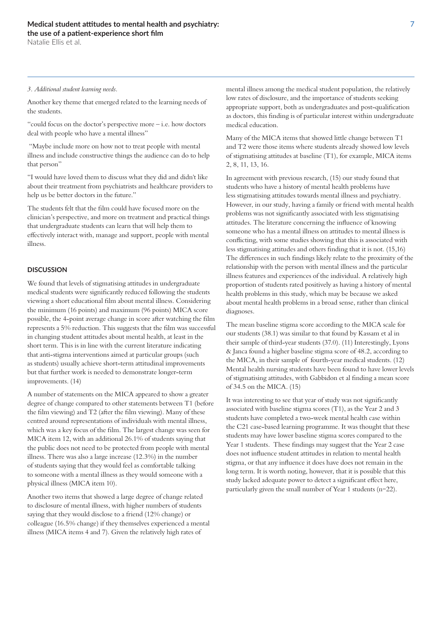Natalie Ellis et al.

#### *3. Additional student learning needs.*

Another key theme that emerged related to the learning needs of the students.

"could focus on the doctor's perspective more – i.e. how doctors deal with people who have a mental illness"

 "Maybe include more on how not to treat people with mental illness and include constructive things the audience can do to help that person"

"I would have loved them to discuss what they did and didn't like about their treatment from psychiatrists and healthcare providers to help us be better doctors in the future."

The students felt that the flm could have focused more on the clinician's perspective, and more on treatment and practical things that undergraduate students can learn that will help them to efectively interact with, manage and support, people with mental illness.

## **DISCUSSION**

We found that levels of stigmatising attitudes in undergraduate medical students were signifcantly reduced following the students viewing a short educational flm about mental illness. Considering the minimum (16 points) and maximum (96 points) MICA score possible, the 4-point average change in score afer watching the flm represents a 5% reduction. This suggests that the flm was successful in changing student attitudes about mental health, at least in the short term. This is in line with the current literature indicating that anti-stigma interventions aimed at particular groups (such as students) usually achieve short-term attitudinal improvements but that further work is needed to demonstrate longer-term improvements. (14)

A number of statements on the MICA appeared to show a greater degree of change compared to other statements between T1 (before the flm viewing) and T2 (afer the flm viewing). Many of these centred around representations of individuals with mental illness, which was a key focus of the flm. The largest change was seen for MICA item 12, with an additional 26.1% of students saying that the public does not need to be protected from people with mental illness. There was also a large increase (12.3%) in the number of students saying that they would feel as comfortable talking to someone with a mental illness as they would someone with a physical illness (MICA item 10).

Another two items that showed a large degree of change related to disclosure of mental illness, with higher numbers of students saying that they would disclose to a friend (12% change) or colleague (16.5% change) if they themselves experienced a mental illness (MICA items 4 and 7). Given the relatively high rates of

mental illness among the medical student population, the relatively low rates of disclosure, and the importance of students seeking appropriate support, both as undergraduates and post-qualifcation as doctors, this fnding is of particular interest within undergraduate medical education.

Many of the MICA items that showed little change between T1 and T2 were those items where students already showed low levels of stigmatising attitudes at baseline (T1), for example, MICA items 2, 8, 11, 13, 16.

In agreement with previous research, (15) our study found that students who have a history of mental health problems have less stigmatising attitudes towards mental illness and psychiatry. However, in our study, having a family or friend with mental health problems was not signifcantly associated with less stigmatising attitudes. The literature concerning the infuence of knowing someone who has a mental illness on attitudes to mental illness is conficting, with some studies showing that this is associated with less stigmatising attitudes and others fnding that it is not. (15,16) The diferences in such fndings likely relate to the proximity of the relationship with the person with mental illness and the particular illness features and experiences of the individual. A relatively high proportion of students rated positively as having a history of mental health problems in this study, which may be because we asked about mental health problems in a broad sense, rather than clinical diagnoses.

The mean baseline stigma score according to the MICA scale for our students (38.1) was similar to that found by Kassam et al in their sample of third-year students (37.0). (11) Interestingly, Lyons & Janca found a higher baseline stigma score of 48.2, according to the MICA, in their sample of fourth-year medical students. (12) Mental health nursing students have been found to have lower levels of stigmatising attitudes, with Gabbidon et al fnding a mean score of 34.5 on the MICA. (15)

It was interesting to see that year of study was not signifcantly associated with baseline stigma scores (T1), as the Year 2 and 3 students have completed a two-week mental health case within the C21 case-based learning programme. It was thought that these students may have lower baseline stigma scores compared to the Year 1 students. These fndings may suggest that the Year 2 case does not infuence student attitudes in relation to mental health stigma, or that any infuence it does have does not remain in the long term. It is worth noting, however, that it is possible that this study lacked adequate power to detect a signifcant efect here, particularly given the small number of Year 1 students (n=22).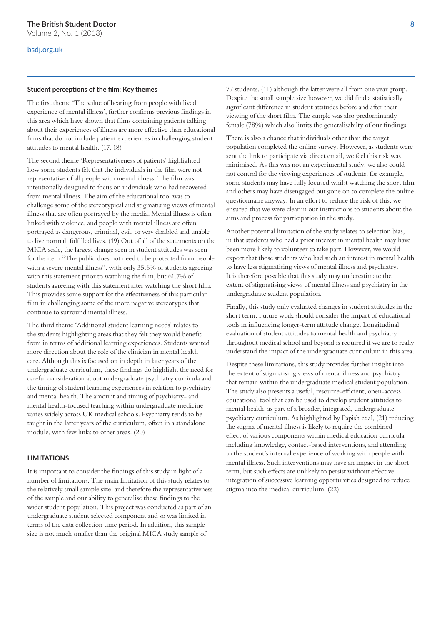## bsdj.org.uk

#### **Student perceptons of the flm: Key themes**

The frst theme 'The value of hearing from people with lived experience of mental illness', further confrms previous fndings in this area which have shown that flms containing patients talking about their experiences of illness are more efective than educational flms that do not include patient experiences in challenging student attitudes to mental health. (17, 18)

The second theme 'Representativeness of patients' highlighted how some students felt that the individuals in the flm were not representative of all people with mental illness. The flm was intentionally designed to focus on individuals who had recovered from mental illness. The aim of the educational tool was to challenge some of the stereotypical and stigmatising views of mental illness that are often portrayed by the media. Mental illness is often linked with violence, and people with mental illness are ofen portrayed as dangerous, criminal, evil, or very disabled and unable to live normal, fulflled lives. (19) Out of all of the statements on the MICA scale, the largest change seen in student attitudes was seen for the item "The public does not need to be protected from people with a severe mental illness", with only 35.6% of students agreeing with this statement prior to watching the film, but 61.7% of students agreeing with this statement afer watching the short flm. This provides some support for the efectiveness of this particular flm in challenging some of the more negative stereotypes that continue to surround mental illness.

The third theme 'Additional student learning needs' relates to the students highlighting areas that they felt they would beneft from in terms of additional learning experiences. Students wanted more direction about the role of the clinician in mental health care. Although this is focused on in depth in later years of the undergraduate curriculum, these fndings do highlight the need for careful consideration about undergraduate psychiatry curricula and the timing of student learning experiences in relation to psychiatry and mental health. The amount and timing of psychiatry- and mental health-focused teaching within undergraduate medicine varies widely across UK medical schools. Psychiatry tends to be taught in the latter years of the curriculum, ofen in a standalone module, with few links to other areas. (20)

## **LIMITATIONS**

It is important to consider the fndings of this study in light of a number of limitations. The main limitation of this study relates to the relatively small sample size, and therefore the representativeness of the sample and our ability to generalise these fndings to the wider student population. This project was conducted as part of an undergraduate student selected component and so was limited in terms of the data collection time period. In addition, this sample size is not much smaller than the original MICA study sample of

77 students, (11) although the latter were all from one year group. Despite the small sample size however, we did fnd a statistically signifcant diference in student attitudes before and afer their viewing of the short flm. The sample was also predominantly female (78%) which also limits the generalisabilty of our fndings.

There is also a chance that individuals other than the target population completed the online survey. However, as students were sent the link to participate via direct email, we feel this risk was minimised. As this was not an experimental study, we also could not control for the viewing experiences of students, for example, some students may have fully focused whilst watching the short flm and others may have disengaged but gone on to complete the online questionnaire anyway. In an efort to reduce the risk of this, we ensured that we were clear in our instructions to students about the aims and process for participation in the study.

Another potential limitation of the study relates to selection bias, in that students who had a prior interest in mental health may have been more likely to volunteer to take part. However, we would expect that those students who had such an interest in mental health to have less stigmatising views of mental illness and psychiatry. It is therefore possible that this study may underestimate the extent of stigmatising views of mental illness and psychiatry in the undergraduate student population.

Finally, this study only evaluated changes in student attitudes in the short term. Future work should consider the impact of educational tools in infuencing longer-term attitude change. Longitudinal evaluation of student attitudes to mental health and psychiatry throughout medical school and beyond is required if we are to really understand the impact of the undergraduate curriculum in this area.

Despite these limitations, this study provides further insight into the extent of stigmatising views of mental illness and psychiatry that remain within the undergraduate medical student population. The study also presents a useful, resource-efficient, open-access educational tool that can be used to develop student attitudes to mental health, as part of a broader, integrated, undergraduate psychiatry curriculum. As highlighted by Papish et al, (21) reducing the stigma of mental illness is likely to require the combined efect of various components within medical education curricula including knowledge, contact-based interventions, and attending to the student's internal experience of working with people with mental illness. Such interventions may have an impact in the short term, but such efects are unlikely to persist without efective integration of successive learning opportunities designed to reduce stigma into the medical curriculum. (22)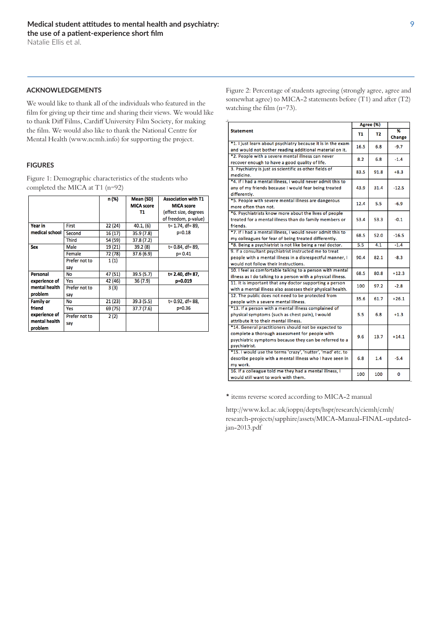#### **ACKNOWLEDGEMENTS**

We would like to thank all of the individuals who featured in the flm for giving up their time and sharing their views. We would like to thank Diff Films, Cardiff University Film Society, for making the flm. We would also like to thank the National Centre for Mental Health (www.ncmh.info) for supporting the project.

## **FIGURES**

Figure 1: Demographic characteristics of the students who completed the MICA at T1 (n=92)

|                           |               | n (%)   | <b>Mean (SD)</b>  | <b>Association with T1</b> |
|---------------------------|---------------|---------|-------------------|----------------------------|
|                           |               |         | <b>MICA</b> score | <b>MICA</b> score          |
|                           |               |         | Т1                | (effect size, degrees      |
|                           |               |         |                   | of freedom, p-value)       |
| Year in<br>medical school | <b>First</b>  | 22(24)  | 40.1, (6)         | t= 1.74, df= 89,           |
|                           | Second        | 16(17)  | 35.9 (7.8)        | $p=0.18$                   |
|                           | <b>Third</b>  | 54 (59) | 37.8 (7.2)        |                            |
| <b>Sex</b>                | Male          | 19 (21) | 39.2(8)           | t= 0.84, df= 89,           |
|                           | Female        | 72 (78) | 37.6 (6.9)        | $p = 0.41$                 |
|                           | Prefer not to | 1(1)    |                   |                            |
|                           | say           |         |                   |                            |
| Personal<br>experience of | <b>No</b>     | 47 (51) | 39.5 (5.7)        | t= 2.40, df= 87,           |
|                           | Yes           | 42 (46) | 36(7.9)           | p=0.019                    |
| mental health             | Prefer not to | 3 (3)   |                   |                            |
| problem                   | say           |         |                   |                            |
| <b>Family or</b>          | <b>No</b>     | 21 (23) | 39.3 (5.5)        | $t = 0.92$ , df= 88,       |
| friend                    | Yes           | 69 (75) | 37.7(7.6)         | $p=0.36$                   |
| experience of             | Prefer not to | 2(2)    |                   |                            |
| mental health             | say           |         |                   |                            |
| problem                   |               |         |                   |                            |

Figure 2: Percentage of students agreeing (strongly agree, agree and somewhat agree) to MICA-2 statements before (T1) and afer (T2) watching the film (n=73).

| <b>Statement</b>                                                                                                                                                                  |      | Agree (%)      |                    |
|-----------------------------------------------------------------------------------------------------------------------------------------------------------------------------------|------|----------------|--------------------|
|                                                                                                                                                                                   |      | T <sub>2</sub> | %<br><b>Change</b> |
| *1. I just learn about psychiatry because it is in the exam                                                                                                                       | 16.5 | 6.8            | $-9.7$             |
| and would not bother reading additional material on it.                                                                                                                           |      |                |                    |
| *2. People with a severe mental illness can never<br>recover enough to have a good quality of life.                                                                               |      | 6.8            | $-1.4$             |
| 3. Psychiatry is just as scientific as other fields of<br>medicine.                                                                                                               |      | 91.8           | $+8.3$             |
| *4. If I had a mental illness, I would never admit this to<br>any of my friends because I would fear being treated<br>differently.                                                |      | 31.4           | $-12.5$            |
| *5. People with severe mental illness are dangerous<br>more often than not.                                                                                                       | 12.4 | 5.5            | $-6.9$             |
| *6. Psychiatrists know more about the lives of people<br>treated for a mental illness than do family members or<br>friends.                                                       | 53.4 | 53.3           | $-0.1$             |
| *7. If I had a mental illness, I would never admit this to<br>my colleagues for fear of being treated differently.                                                                | 68.5 | 52.0           | $-16.5$            |
| *8. Being a psychiatrist is not like being a real doctor.                                                                                                                         | 5.5  | 4.1            | $-1.4$             |
| 9. If a consultant psychiatrist instructed me to treat<br>people with a mental illness in a disrespectful manner, I<br>would not follow their instructions.                       |      | 82.1           | $-8.3$             |
| 10. I feel as comfortable talking to a person with mental<br>illness as I do talking to a person with a physical illness.                                                         | 68.5 | 80.8           | $+12.3$            |
| 11. It is important that any doctor supporting a person<br>with a mental illness also assesses their physical health.                                                             | 100  | 97.2           | $-2.8$             |
| 12. The public does not need to be protected from<br>people with a severe mental illness.                                                                                         | 35.6 | 61.7           | $+26.1$            |
| *13. If a person with a mental illness complained of<br>physical symptoms (such as chest pain), I would<br>attribute it to their mental illness.                                  | 5.5  | 6.8            | $+1.3$             |
| *14. General practitioners should not be expected to<br>complete a thorough assessment for people with<br>psychiatric symptoms because they can be referred to a<br>psychiatrist. |      | 13.7           | $+14.1$            |
| *15. I would use the terms 'crazy', 'nutter', 'mad' etc. to<br>describe people with a mental illness who I have seen in<br>my work.                                               | 6.8  | 1.4            | $-5.4$             |
| 16. If a colleague told me they had a mental illness, I<br>would still want to work with them.                                                                                    | 100  | 100            | O                  |

\* items reverse scored according to MICA-2 manual

http://www.kcl.ac.uk/ioppn/depts/hspr/research/ciemh/cmh/ research-projects/sapphire/assets/MICA-Manual-FINAL-updatedjan-2013.pdf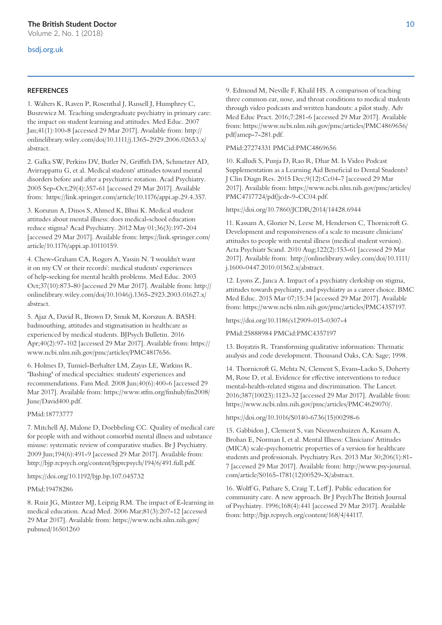## bsdj.org.uk

## **REFERENCES**

1. Walters K, Raven P, Rosenthal J, Russell J, Humphrey C, Buszewicz M. Teaching undergraduate psychiatry in primary care: the impact on student learning and attitudes. Med Educ. 2007 Jan;41(1):100-8 [accessed 29 Mar 2017]. Available from: http:// onlinelibrary.wiley.com/doi/10.1111/j.1365-2929.2006.02653.x/ abstract.

2. Galka SW, Perkins DV, Butler N, Grifth DA, Schmetzer AD, Avirrappattu G, et al. Medical students' attitudes toward mental disorders before and afer a psychiatric rotation. Acad Psychiatry. 2005 Sep-Oct;29(4):357-61 [accessed 29 Mar 2017]. Available from: https://link.springer.com/article/10.1176/appi.ap.29.4.357.

3. Korszun A, Dinos S, Ahmed K, Bhui K. Medical student attitudes about mental illness: does medical-school education reduce stigma? Acad Psychiatry. 2012 May 01;36(3):197-204 [accessed 29 Mar 2017]. Available from: https://link.springer.com/ article/10.1176/appi.ap.10110159.

4. Chew-Graham CA, Rogers A, Yassin N. 'I wouldn't want it on my CV or their records': medical students' experiences of help-seeking for mental health problems. Med Educ. 2003 Oct;37(10):873-80 [accessed 29 Mar 2017]. Available from: http:// onlinelibrary.wiley.com/doi/10.1046/j.1365-2923.2003.01627.x/ abstract.

5. Ajaz A, David R, Brown D, Smuk M, Korszun A. BASH: badmouthing, attitudes and stigmatisation in healthcare as experienced by medical students. BJPsych Bulletin. 2016 Apr;40(2):97-102 [accessed 29 Mar 2017]. Available from: https:// www.ncbi.nlm.nih.gov/pmc/articles/PMC4817656.

6. Holmes D, Tumiel-Berhalter LM, Zayas LE, Watkins R. "Bashing" of medical specialties: students' experiences and recommendations. Fam Med. 2008 Jun;40(6):400-6 [accessed 29 Mar 2017]. Available from: https://www.stfm.org/fmhub/fm2008/ June/David400.pdf.

#### PMid:18773777

7. Mitchell AJ, Malone D, Doebbeling CC. Quality of medical care for people with and without comorbid mental illness and substance misuse: systematic review of comparative studies. Br J Psychiatry. 2009 Jun;194(6):491-9 [accessed 29 Mar 2017]. Available from: http://bjp.rcpsych.org/content/bjprcpsych/194/6/491.full.pdf.

https://doi.org/10.1192/bjp.bp.107.045732

#### PMid:19478286

8. Ruiz JG, Mintzer MJ, Leipzig RM. The impact of E-learning in medical education. Acad Med. 2006 Mar;81(3):207-12 [accessed 29 Mar 2017]. Available from: https://www.ncbi.nlm.nih.gov/ pubmed/16501260

9. Edmond M, Neville F, Khalil HS. A comparison of teaching three common ear, nose, and throat conditions to medical students through video podcasts and written handouts: a pilot study. Adv Med Educ Pract. 2016;7:281-6 [accessed 29 Mar 2017]. Available from: https://www.ncbi.nlm.nih.gov/pmc/articles/PMC4869656/ pdf/amep-7-281.pdf.

#### PMid:27274331 PMCid:PMC4869656

10. Kalludi S, Punja D, Rao R, Dhar M. Is Video Podcast Supplementation as a Learning Aid Beneficial to Dental Students? J Clin Diagn Res. 2015 Dec;9(12):Cc04-7 [accessed 29 Mar 2017]. Available from: https://www.ncbi.nlm.nih.gov/pmc/articles/ PMC4717724/pdf/jcdr-9-CC04.pdf.

#### https://doi.org/10.7860/JCDR/2014/14428.6944

11. Kassam A, Glozier N, Leese M, Henderson C, Thornicroft G. Development and responsiveness of a scale to measure clinicians' attitudes to people with mental illness (medical student version). Acta Psychiatr Scand. 2010 Aug;122(2):153-61 [accessed 29 Mar 2017]. Available from: http://onlinelibrary.wiley.com/doi/10.1111/ j.1600-0447.2010.01562.x/abstract.

12. Lyons Z, Janca A. Impact of a psychiatry clerkship on stigma, attitudes towards psychiatry, and psychiatry as a career choice. BMC Med Educ. 2015 Mar 07;15:34 [accessed 29 Mar 2017]. Available from: https://www.ncbi.nlm.nih.gov/pmc/articles/PMC4357197.

https://doi.org/10.1186/s12909-015-0307-4

PMid:25888984 PMCid:PMC4357197

13. Boyatzis R. Transforming qualitative information: Thematic analysis and code development. Thousand Oaks, CA: Sage; 1998.

14. Thornicroft G, Mehta N, Clement S, Evans-Lacko S, Doherty M, Rose D, et al. Evidence for efective interventions to reduce mental-health-related stigma and discrimination. The Lancet. 2016;387(10023):1123-32 [accessed 29 Mar 2017]. Available from: https://www.ncbi.nlm.nih.gov/pmc/articles/PMC4629070/.

https://doi.org/10.1016/S0140-6736(15)00298-6

15. Gabbidon J, Clement S, van Nieuwenhuizen A, Kassam A, Brohan E, Norman I, et al. Mental Illness: Clinicians' Attitudes (MICA) scale-psychometric properties of a version for healthcare students and professionals. Psychiatry Res. 2013 Mar 30;206(1):81- 7 [accessed 29 Mar 2017]. Available from: http://www.psy-journal. com/article/S0165-1781(12)00529-X/abstract.

16. Wolf G, Pathare S, Craig T, Lef J. Public education for community care. A new approach. Br J PsychThe British Journal of Psychiatry. 1996;168(4):441 [accessed 29 Mar 2017]. Available from: http://bjp.rcpsych.org/content/168/4/44117.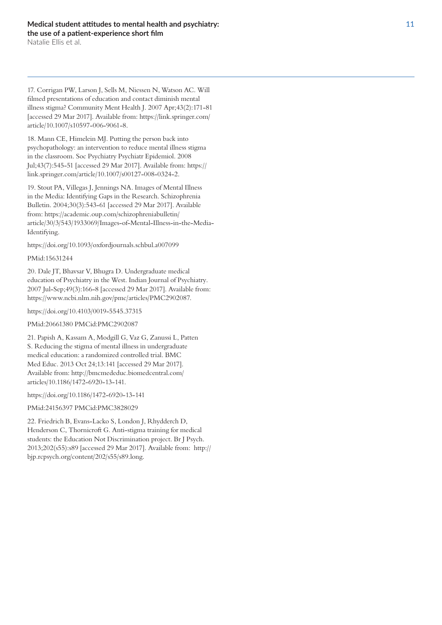Natalie Ellis et al.

17. Corrigan PW, Larson J, Sells M, Niessen N, Watson AC. Will flmed presentations of education and contact diminish mental illness stigma? Community Ment Health J. 2007 Apr;43(2):171-81 [accessed 29 Mar 2017]. Available from: https://link.springer.com/ article/10.1007/s10597-006-9061-8.

18. Mann CE, Himelein MJ. Putting the person back into psychopathology: an intervention to reduce mental illness stigma in the classroom. Soc Psychiatry Psychiatr Epidemiol. 2008 Jul;43(7):545-51 [accessed 29 Mar 2017]. Available from: https:// link.springer.com/article/10.1007/s00127-008-0324-2.

19. Stout PA, Villegas J, Jennings NA. Images of Mental Illness in the Media: Identifying Gaps in the Research. Schizophrenia Bulletin. 2004;30(3):543-61 [accessed 29 Mar 2017]. Available from: https://academic.oup.com/schizophreniabulletin/ article/30/3/543/1933069/Images-of-Mental-Illness-in-the-Media-Identifying.

https://doi.org/10.1093/oxfordjournals.schbul.a007099

## PMid:15631244

20. Dale JT, Bhavsar V, Bhugra D. Undergraduate medical education of Psychiatry in the West. Indian Journal of Psychiatry. 2007 Jul-Sep;49(3):166-8 [accessed 29 Mar 2017]. Available from: https://www.ncbi.nlm.nih.gov/pmc/articles/PMC2902087.

https://doi.org/10.4103/0019-5545.37315

PMid:20661380 PMCid:PMC2902087

21. Papish A, Kassam A, Modgill G, Vaz G, Zanussi L, Patten S. Reducing the stigma of mental illness in undergraduate medical education: a randomized controlled trial. BMC Med Educ. 2013 Oct 24;13:141 [accessed 29 Mar 2017]. Available from: http://bmcmededuc.biomedcentral.com/ articles/10.1186/1472-6920-13-141.

https://doi.org/10.1186/1472-6920-13-141

PMid:24156397 PMCid:PMC3828029

22. Friedrich B, Evans-Lacko S, London J, Rhydderch D, Henderson C, Thornicroft G. Anti-stigma training for medical students: the Education Not Discrimination project. Br J Psych. 2013;202(s55):s89 [accessed 29 Mar 2017]. Available from: http:// bjp.rcpsych.org/content/202/s55/s89.long.